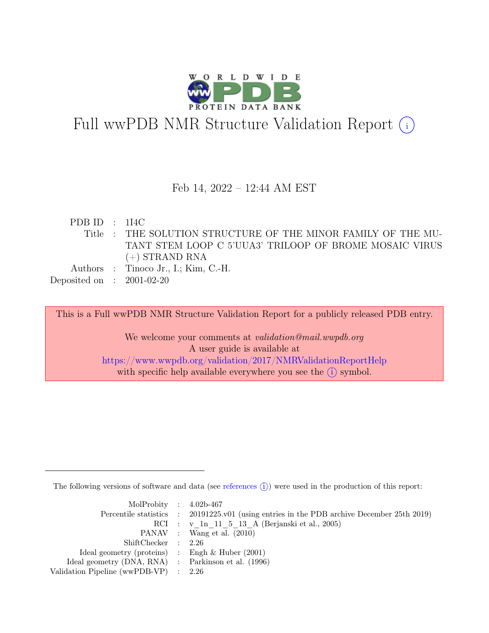

## Full wwPDB NMR Structure Validation Report  $(i)$

#### Feb 14, 2022 – 12:44 AM EST

PDB ID : 1I4C Title : THE SOLUTION STRUCTURE OF THE MINOR FAMILY OF THE MU-TANT STEM LOOP C 5'UUA3' TRILOOP OF BROME MOSAIC VIRUS (+) STRAND RNA Authors : Tinoco Jr., I.; Kim, C.-H. Deposited on : 2001-02-20

This is a Full wwPDB NMR Structure Validation Report for a publicly released PDB entry.

We welcome your comments at *validation@mail.wwpdb.org* A user guide is available at <https://www.wwpdb.org/validation/2017/NMRValidationReportHelp> with specific help available everywhere you see the  $(i)$  symbol.

The following versions of software and data (see [references](https://www.wwpdb.org/validation/2017/NMRValidationReportHelp#references)  $(i)$ ) were used in the production of this report:

| MolProbity : $4.02b-467$                            |                                                                                            |
|-----------------------------------------------------|--------------------------------------------------------------------------------------------|
|                                                     | Percentile statistics : 20191225.v01 (using entries in the PDB archive December 25th 2019) |
|                                                     | RCI : v 1n 11 5 13 A (Berjanski et al., 2005)                                              |
|                                                     | PANAV : Wang et al. (2010)                                                                 |
| ShiftChecker : 2.26                                 |                                                                                            |
| Ideal geometry (proteins) : Engh $\&$ Huber (2001)  |                                                                                            |
| Ideal geometry (DNA, RNA) : Parkinson et al. (1996) |                                                                                            |
| Validation Pipeline (wwPDB-VP) : 2.26               |                                                                                            |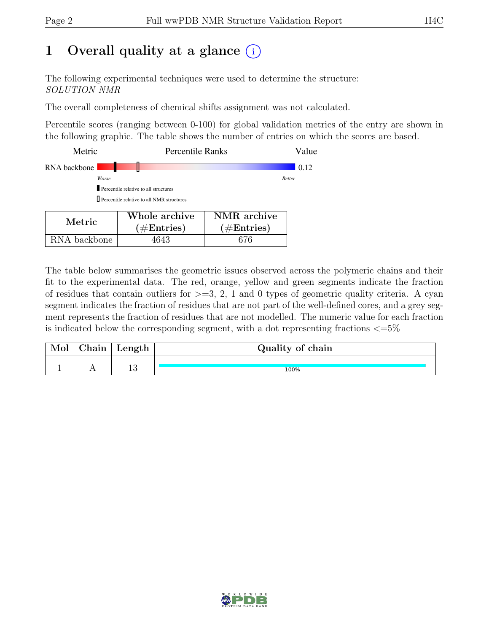## 1 Overall quality at a glance  $(i)$

The following experimental techniques were used to determine the structure: SOLUTION NMR

The overall completeness of chemical shifts assignment was not calculated.

Percentile scores (ranging between 0-100) for global validation metrics of the entry are shown in the following graphic. The table shows the number of entries on which the scores are based.

| Metric       | <b>Percentile Ranks</b>                            |             | Value         |
|--------------|----------------------------------------------------|-------------|---------------|
| RNA backbone |                                                    |             | 0.12          |
| Worse        |                                                    |             | <b>Better</b> |
|              | Percentile relative to all structures              |             |               |
|              | <b>I</b> Percentile relative to all NMR structures |             |               |
|              |                                                    |             |               |
| <b>BF</b>    | Whole archive                                      | NMR archive |               |

| Metric.      | Whole archive<br>$(\#Entries)$ | NMR archive<br>$(\#Entries)$ |
|--------------|--------------------------------|------------------------------|
| RNA backbone | 4643                           | 676                          |

The table below summarises the geometric issues observed across the polymeric chains and their fit to the experimental data. The red, orange, yellow and green segments indicate the fraction of residues that contain outliers for  $>=3, 2, 1$  and 0 types of geometric quality criteria. A cyan segment indicates the fraction of residues that are not part of the well-defined cores, and a grey segment represents the fraction of residues that are not modelled. The numeric value for each fraction is indicated below the corresponding segment, with a dot representing fractions  $\langle=5\%$ 

| hain | Length    | Quality of chain |
|------|-----------|------------------|
|      |           |                  |
|      | 1 ຕ<br>⊥∪ | 100%             |

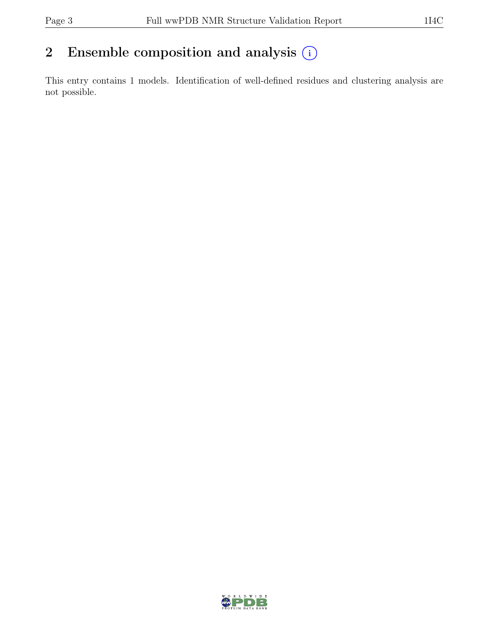## 2 Ensemble composition and analysis  $(i)$

This entry contains 1 models. Identification of well-defined residues and clustering analysis are not possible.

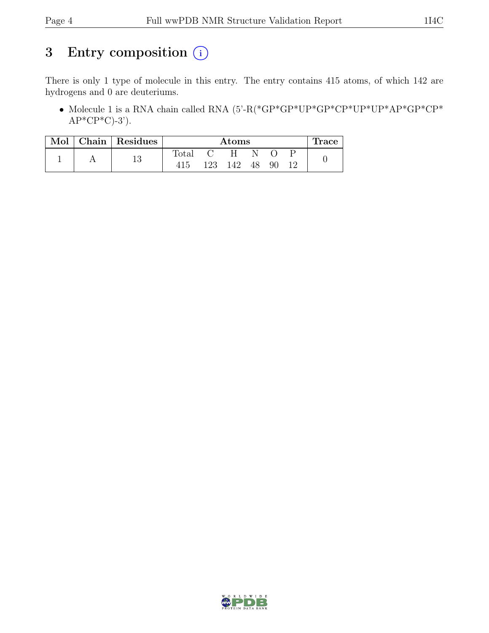## 3 Entry composition  $(i)$

There is only 1 type of molecule in this entry. The entry contains 415 atoms, of which 142 are hydrogens and 0 are deuteriums.

• Molecule 1 is a RNA chain called RNA (5'-R(\*GP\*GP\*UP\*GP\*CP\*UP\*UP\*AP\*GP\*CP\*  $AP*CP*C$ -3').

| Mol | Chain   Residues | Atoms |     |     |    | Trace |  |  |
|-----|------------------|-------|-----|-----|----|-------|--|--|
|     | 1 2              | Total |     |     |    |       |  |  |
|     | ΤÛ               |       | 123 | 142 | 48 | 90    |  |  |

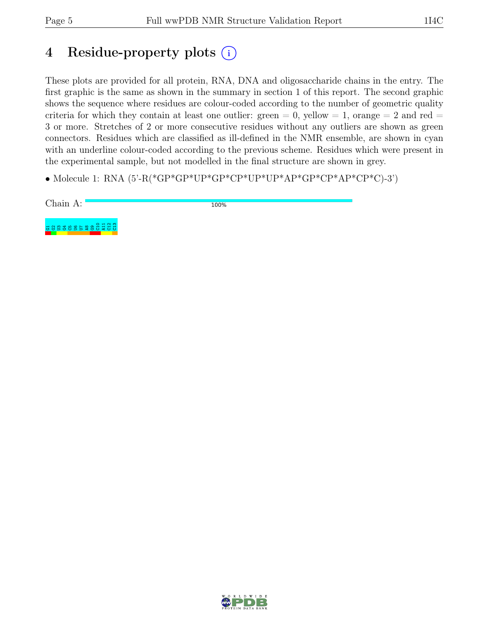## 4 Residue-property plots (i)

These plots are provided for all protein, RNA, DNA and oligosaccharide chains in the entry. The first graphic is the same as shown in the summary in section 1 of this report. The second graphic shows the sequence where residues are colour-coded according to the number of geometric quality criteria for which they contain at least one outlier: green  $= 0$ , yellow  $= 1$ , orange  $= 2$  and red  $=$ 3 or more. Stretches of 2 or more consecutive residues without any outliers are shown as green connectors. Residues which are classified as ill-defined in the NMR ensemble, are shown in cyan with an underline colour-coded according to the previous scheme. Residues which were present in the experimental sample, but not modelled in the final structure are shown in grey.

• Molecule 1: RNA (5'-R(\*GP\*GP\*UP\*GP\*CP\*UP\*UP\*AP\*GP\*CP\*AP\*CP\*C)-3')



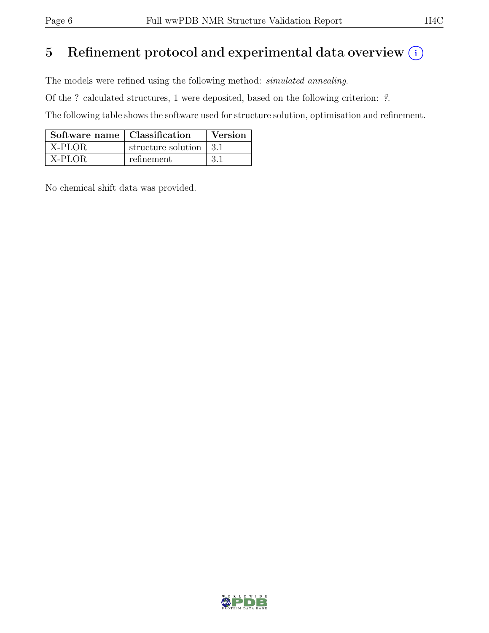## 5 Refinement protocol and experimental data overview  $\binom{1}{k}$

The models were refined using the following method: simulated annealing.

Of the ? calculated structures, 1 were deposited, based on the following criterion: ?.

The following table shows the software used for structure solution, optimisation and refinement.

| Software name   Classification |                        | <b>Version</b> |
|--------------------------------|------------------------|----------------|
| X-PLOR                         | structure solution 3.1 |                |
| $\overline{X-PLOR}$            | refinement             | -3.1           |

No chemical shift data was provided.

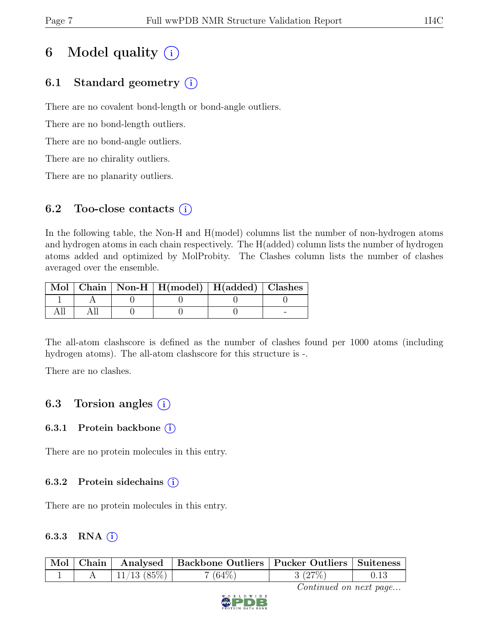## 6 Model quality  $(i)$

### 6.1 Standard geometry (i)

There are no covalent bond-length or bond-angle outliers.

There are no bond-length outliers.

There are no bond-angle outliers.

There are no chirality outliers.

There are no planarity outliers.

### 6.2 Too-close contacts  $(i)$

In the following table, the Non-H and H(model) columns list the number of non-hydrogen atoms and hydrogen atoms in each chain respectively. The H(added) column lists the number of hydrogen atoms added and optimized by MolProbity. The Clashes column lists the number of clashes averaged over the ensemble.

|  | Mol   Chain   Non-H   H(model)   H(added)   Clashes |  |
|--|-----------------------------------------------------|--|
|  |                                                     |  |
|  |                                                     |  |

The all-atom clashscore is defined as the number of clashes found per 1000 atoms (including hydrogen atoms). The all-atom clashscore for this structure is -.

There are no clashes.

### 6.3 Torsion angles  $(i)$

#### 6.3.1 Protein backbone  $(i)$

There are no protein molecules in this entry.

#### 6.3.2 Protein sidechains (i)

There are no protein molecules in this entry.

#### 6.3.3 RNA  $(i)$

| $\mid$ Mol $\mid$ Chain |               | Analysed   Backbone Outliers   Pucker Outliers   Suiteness |        |  |
|-------------------------|---------------|------------------------------------------------------------|--------|--|
|                         | $11/13$ (85%) | $(64\%)$                                                   | 3(27%) |  |

Continued on next page...

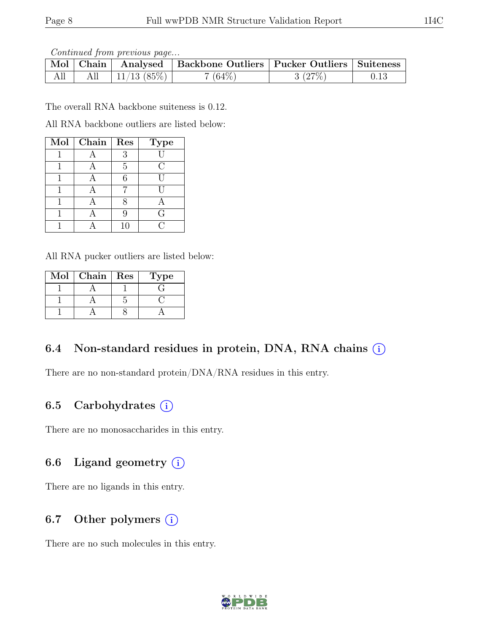Continued from previous page...

| Mol | Chain |            | Analysed   Backbone Outliers   Pucker Outliers   Suiteness |        |  |
|-----|-------|------------|------------------------------------------------------------|--------|--|
| All | All   | 11/13(85%) | $(64\%)$                                                   | 3(27%) |  |

The overall RNA backbone suiteness is 0.12.

All RNA backbone outliers are listed below:

| Mol   Chain | Res | <b>Type</b> |
|-------------|-----|-------------|
|             | 3   |             |
|             | 5   | €,          |
|             | ճ   |             |
|             |     |             |
|             |     |             |
|             |     | G           |
|             | 10  |             |

All RNA pucker outliers are listed below:

| Mol | Chain | $\mid$ Res | lype. |
|-----|-------|------------|-------|
|     |       |            |       |
|     |       |            |       |
|     |       |            |       |

### 6.4 Non-standard residues in protein, DNA, RNA chains  $(i)$

There are no non-standard protein/DNA/RNA residues in this entry.

### 6.5 Carbohydrates  $(i)$

There are no monosaccharides in this entry.

### 6.6 Ligand geometry  $(i)$

There are no ligands in this entry.

### 6.7 Other polymers  $(i)$

There are no such molecules in this entry.

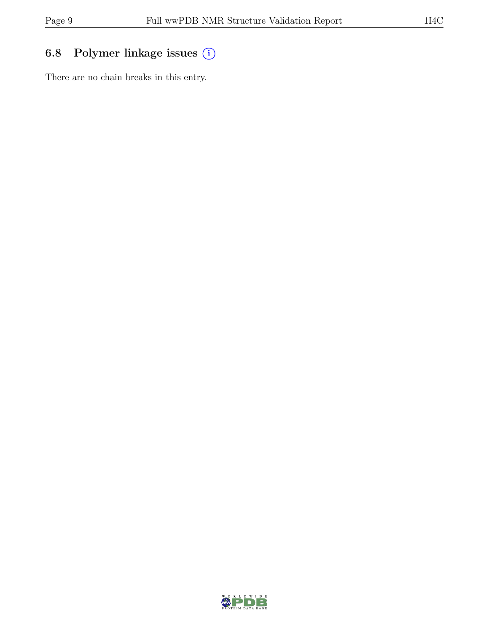## 6.8 Polymer linkage issues (i)

There are no chain breaks in this entry.